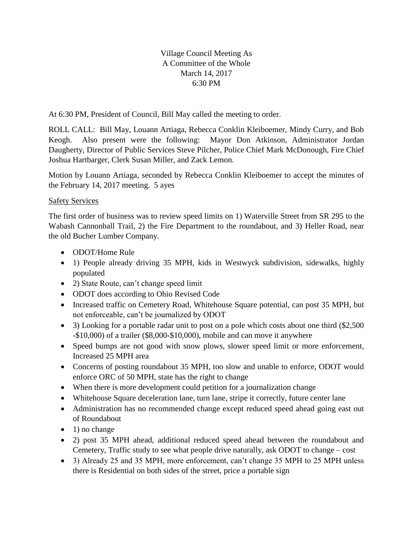Village Council Meeting As A Committee of the Whole March 14, 2017 6:30 PM

At 6:30 PM, President of Council, Bill May called the meeting to order.

ROLL CALL: Bill May, Louann Artiaga, Rebecca Conklin Kleiboemer, Mindy Curry, and Bob Keogh. Also present were the following: Mayor Don Atkinson, Administrator Jordan Daugherty, Director of Public Services Steve Pilcher, Police Chief Mark McDonough, Fire Chief Joshua Hartbarger, Clerk Susan Miller, and Zack Lemon.

Motion by Louann Artiaga, seconded by Rebecca Conklin Kleiboemer to accept the minutes of the February 14, 2017 meeting. 5 ayes

## Safety Services

The first order of business was to review speed limits on 1) Waterville Street from SR 295 to the Wabash Cannonball Trail, 2) the Fire Department to the roundabout, and 3) Heller Road, near the old Bucher Lumber Company.

- ODOT/Home Rule
- 1) People already driving 35 MPH, kids in Westwyck subdivision, sidewalks, highly populated
- 2) State Route, can't change speed limit
- ODOT does according to Ohio Revised Code
- Increased traffic on Cemetery Road, Whitehouse Square potential, can post 35 MPH, but not enforceable, can't be journalized by ODOT
- 3) Looking for a portable radar unit to post on a pole which costs about one third (\$2,500) -\$10,000) of a trailer (\$8,000-\$10,000), mobile and can move it anywhere
- Speed bumps are not good with snow plows, slower speed limit or more enforcement, Increased 25 MPH area
- Concerns of posting roundabout 35 MPH, too slow and unable to enforce, ODOT would enforce ORC of 50 MPH, state has the right to change
- When there is more development could petition for a journalization change
- Whitehouse Square deceleration lane, turn lane, stripe it correctly, future center lane
- Administration has no recommended change except reduced speed ahead going east out of Roundabout
- $\bullet$  1) no change
- 2) post 35 MPH ahead, additional reduced speed ahead between the roundabout and Cemetery, Traffic study to see what people drive naturally, ask ODOT to change – cost
- 3) Already 25 and 35 MPH, more enforcement, can't change 35 MPH to 25 MPH unless there is Residential on both sides of the street, price a portable sign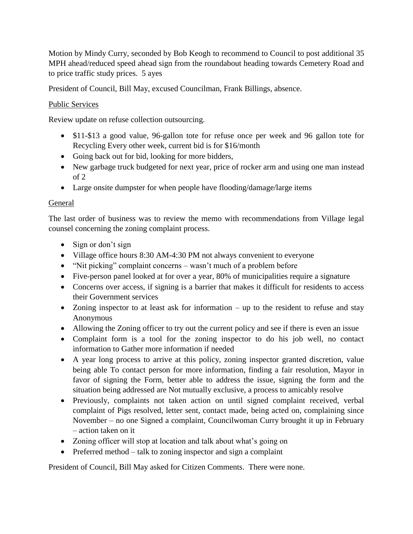Motion by Mindy Curry, seconded by Bob Keogh to recommend to Council to post additional 35 MPH ahead/reduced speed ahead sign from the roundabout heading towards Cemetery Road and to price traffic study prices. 5 ayes

President of Council, Bill May, excused Councilman, Frank Billings, absence.

## Public Services

Review update on refuse collection outsourcing.

- \$11-\$13 a good value, 96-gallon tote for refuse once per week and 96 gallon tote for Recycling Every other week, current bid is for \$16/month
- Going back out for bid, looking for more bidders,
- New garbage truck budgeted for next year, price of rocker arm and using one man instead of 2
- Large onsite dumpster for when people have flooding/damage/large items

## General

The last order of business was to review the memo with recommendations from Village legal counsel concerning the zoning complaint process.

- Sign or don't sign
- Village office hours 8:30 AM-4:30 PM not always convenient to everyone
- "Nit picking" complaint concerns wasn't much of a problem before
- Five-person panel looked at for over a year, 80% of municipalities require a signature
- Concerns over access, if signing is a barrier that makes it difficult for residents to access their Government services
- Zoning inspector to at least ask for information up to the resident to refuse and stay Anonymous
- Allowing the Zoning officer to try out the current policy and see if there is even an issue
- Complaint form is a tool for the zoning inspector to do his job well, no contact information to Gather more information if needed
- A year long process to arrive at this policy, zoning inspector granted discretion, value being able To contact person for more information, finding a fair resolution, Mayor in favor of signing the Form, better able to address the issue, signing the form and the situation being addressed are Not mutually exclusive, a process to amicably resolve
- Previously, complaints not taken action on until signed complaint received, verbal complaint of Pigs resolved, letter sent, contact made, being acted on, complaining since November – no one Signed a complaint, Councilwoman Curry brought it up in February – action taken on it
- Zoning officer will stop at location and talk about what's going on
- Preferred method talk to zoning inspector and sign a complaint

President of Council, Bill May asked for Citizen Comments. There were none.